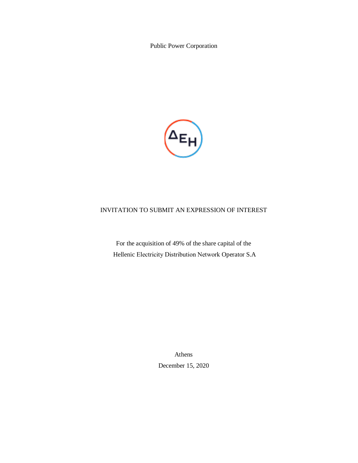Public Power Corporation



# INVITATION TO SUBMIT AN EXPRESSION OF INTEREST

For the acquisition of 49% of the share capital of the Hellenic Εlectricity Distribution Νetwork Operator S.A

> Athens December 15, 2020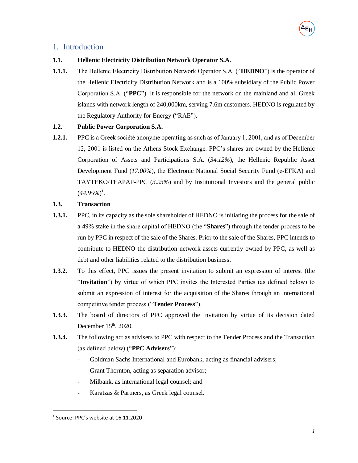# 1. Introduction

## **1.1. Hellenic Electricity Distribution Network Operator S.A.**

**1.1.1.** The Hellenic Electricity Distribution Network Operator S.A. ("**HEDNO**") is the operator of the Hellenic Electricity Distribution Network and is a 100% subsidiary of the Public Power Corporation S.A. ("**PPC**"). It is responsible for the network on the mainland and all Greek islands with network length of 240,000km, serving 7.6m customers. HEDNO is regulated by the Regulatory Authority for Energy ("RAE").

## **1.2. Public Power Corporation S.A.**

**1.2.1.** PPC is a Greek société anonyme operating as such as of January 1, 2001, and as of December 12, 2001 is listed on the Athens Stock Exchange. PPC's shares are owned by the Hellenic Corporation of Assets and Participations S.A. (*34.12%*), the Hellenic Republic Asset Development Fund (*17.00%*), the Electronic National Social Security Fund (e-EFKA) and TAYTEKO/TEAPAP-PPC (*3.93%*) and by Institutional Investors and the general public  $(44.95\%)^1$ .

## **1.3. Transaction**

- **1.3.1.** PPC, in its capacity as the sole shareholder of HEDNO is initiating the process for the sale of a 49% stake in the share capital of HEDNO (the "**Shares**") through the tender process to be run by PPC in respect of the sale of the Shares. Prior to the sale of the Shares, PPC intends to contribute to HEDNO the distribution network assets currently owned by PPC, as well as debt and other liabilities related to the distribution business.
- **1.3.2.** To this effect, PPC issues the present invitation to submit an expression of interest (the "**Invitation**") by virtue of which PPC invites the Interested Parties (as defined below) to submit an expression of interest for the acquisition of the Shares through an international competitive tender process ("**Tender Process**").
- **1.3.3.** The board of directors of PPC approved the Invitation by virtue of its decision dated December  $15<sup>th</sup>$ , 2020.
- <span id="page-1-0"></span>**1.3.4.** The following act as advisers to PPC with respect to the Tender Process and the Transaction (as defined below) ("**PPC Advisers**"):
	- Goldman Sachs International and Eurobank, acting as financial advisers;
	- Grant Thornton, acting as separation advisor;
	- Milbank, as international legal counsel; and
	- Karatzas & Partners, as Greek legal counsel.

 $\overline{a}$ 

 $<sup>1</sup>$  Source: PPC's website at 16.11.2020</sup>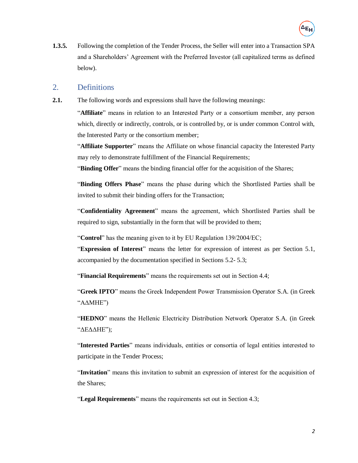

**1.3.5.** Following the completion of the Tender Process, the Seller will enter into a Transaction SPA and a Shareholders' Agreement with the Preferred Investor (all capitalized terms as defined below).

# 2. Definitions

**2.1.** The following words and expressions shall have the following meanings:

"**Affiliate**" means in relation to an Interested Party or a consortium member, any person which, directly or indirectly, controls, or is controlled by, or is under common Control with, the Interested Party or the consortium member;

"**Affiliate Supporter**" means the Affiliate on whose financial capacity the Interested Party may rely to demonstrate fulfillment of the Financial Requirements;

"**Binding Offer**" means the binding financial offer for the acquisition of the Shares;

"**Binding Offers Phase**" means the phase during which the Shortlisted Parties shall be invited to submit their binding offers for the Transaction;

"**Confidentiality Agreement**" means the agreement, which Shortlisted Parties shall be required to sign, substantially in the form that will be provided to them;

"**Control**" has the meaning given to it by EU Regulation 139/2004/EC;

"**Expression of Interest**" means the letter for expression of interest as per Section [5.1,](#page-11-0) accompanied by the documentation specified in Sections [5.2-](#page-13-0) [5.3;](#page-13-1)

"**Financial Requirements**" means the requirements set out in Section [4.4;](#page-9-0)

"**Greek IPTO**" means the Greek Independent Power Transmission Operator S.A. (in Greek "ΑΔΜΗΕ")

"HEDNO" means the Hellenic Electricity Distribution Network Operator S.A. (in Greek "ΔΕΔΔΗΕ");

"**Interested Parties**" means individuals, entities or consortia of legal entities interested to participate in the Tender Process;

"**Invitation**" means this invitation to submit an expression of interest for the acquisition of the Shares;

"**Legal Requirements**" means the requirements set out in Section [4.3;](#page-7-0)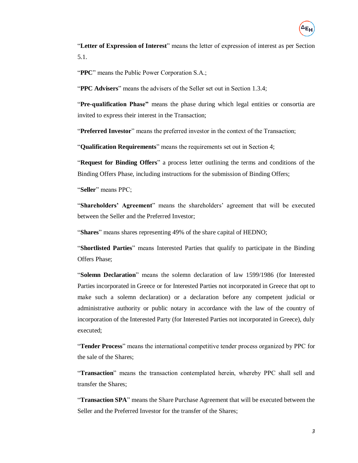

"**Letter of Expression of Interest**" means the letter of expression of interest as per Section [5.1.](#page-11-0)

"**PPC**" means the Public Power Corporation S.A.;

"**PPC Advisers**" means the advisers of the Seller set out in Section [1.3.4;](#page-1-0)

"**Pre-qualification Phase"** means the phase during which legal entities or consortia are invited to express their interest in the Transaction;

"**Preferred Investor**" means the preferred investor in the context of the Transaction;

"**Qualification Requirements**" means the requirements set out in Section [4;](#page-5-0)

"**Request for Binding Offers**" a process letter outlining the terms and conditions of the Binding Offers Phase, including instructions for the submission of Binding Offers;

"**Seller**" means PPC;

"**Shareholders' Agreement**" means the shareholders' agreement that will be executed between the Seller and the Preferred Investor;

"**Shares**" means shares representing 49% of the share capital of HEDNO;

"**Shortlisted Parties**" means Interested Parties that qualify to participate in the Binding Offers Phase;

"**Solemn Declaration**" means the solemn declaration of law 1599/1986 (for Interested Parties incorporated in Greece or for Interested Parties not incorporated in Greece that opt to make such a solemn declaration) or a declaration before any competent judicial or administrative authority or public notary in accordance with the law of the country of incorporation of the Interested Party (for Interested Parties not incorporated in Greece), duly executed;

"**Tender Process**" means the international competitive tender process organized by PPC for the sale of the Shares;

"**Transaction**" means the transaction contemplated herein, whereby PPC shall sell and transfer the Shares;

"**Transaction SPA**" means the Share Purchase Agreement that will be executed between the Seller and the Preferred Investor for the transfer of the Shares;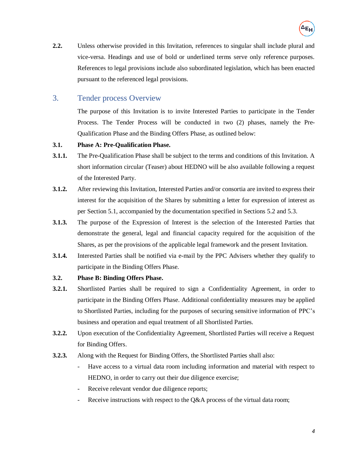

**2.2.** Unless otherwise provided in this Invitation, references to singular shall include plural and vice-versa. Headings and use of bold or underlined terms serve only reference purposes. References to legal provisions include also subordinated legislation, which has been enacted pursuant to the referenced legal provisions.

# 3. Tender process Overview

The purpose of this Invitation is to invite Interested Parties to participate in the Tender Process. The Tender Process will be conducted in two (2) phases, namely the Pre-Qualification Phase and the Binding Offers Phase, as outlined below:

## **3.1. Phase A: Pre-Qualification Phase.**

- **3.1.1.** The Pre-Qualification Phase shall be subject to the terms and conditions of this Invitation. A short information circular (Teaser) about HEDNO will be also available following a request of the Interested Party.
- **3.1.2.** After reviewing this Invitation, Interested Parties and/or consortia are invited to express their interest for the acquisition of the Shares by submitting a letter for expression of interest as per Section [5.1,](#page-11-0) accompanied by the documentation specified in Sections [5.2](#page-13-0) and [5.3.](#page-13-1)
- **3.1.3.** The purpose of the Expression of Interest is the selection of the Interested Parties that demonstrate the general, legal and financial capacity required for the acquisition of the Shares, as per the provisions of the applicable legal framework and the present Invitation.
- **3.1.4.** Interested Parties shall be notified via e-mail by the PPC Advisers whether they qualify to participate in the Binding Offers Phase.

# **3.2. Phase B: Binding Offers Phase.**

- **3.2.1.** Shortlisted Parties shall be required to sign a Confidentiality Agreement, in order to participate in the Binding Offers Phase. Additional confidentiality measures may be applied to Shortlisted Parties, including for the purposes of securing sensitive information of PPC's business and operation and equal treatment of all Shortlisted Parties.
- **3.2.2.** Upon execution of the Confidentiality Agreement, Shortlisted Parties will receive a Request for Binding Offers.
- **3.2.3.** Along with the Request for Binding Offers, the Shortlisted Parties shall also:
	- Have access to a virtual data room including information and material with respect to HEDNO, in order to carry out their due diligence exercise;
	- Receive relevant vendor due diligence reports;
	- Receive instructions with respect to the  $Q&A$  process of the virtual data room;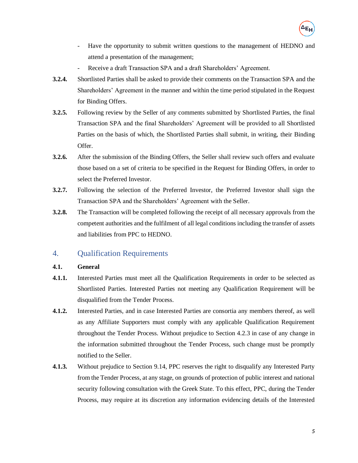

- Have the opportunity to submit written questions to the management of HEDNO and attend a presentation of the management;
- Receive a draft Transaction SPA and a draft Shareholders' Agreement.
- **3.2.4.** Shortlisted Parties shall be asked to provide their comments on the Transaction SPA and the Shareholders' Agreement in the manner and within the time period stipulated in the Request for Binding Offers.
- **3.2.5.** Following review by the Seller of any comments submitted by Shortlisted Parties, the final Transaction SPA and the final Shareholders' Agreement will be provided to all Shortlisted Parties on the basis of which, the Shortlisted Parties shall submit, in writing, their Binding Offer.
- **3.2.6.** After the submission of the Binding Offers, the Seller shall review such offers and evaluate those based on a set of criteria to be specified in the Request for Binding Offers, in order to select the Preferred Investor.
- **3.2.7.** Following the selection of the Preferred Investor, the Preferred Investor shall sign the Transaction SPA and the Shareholders' Agreement with the Seller.
- **3.2.8.** The Transaction will be completed following the receipt of all necessary approvals from the competent authorities and the fulfilment of all legal conditions including the transfer of assets and liabilities from PPC to HEDNO.

# <span id="page-5-0"></span>4. Qualification Requirements

## **4.1. General**

- **4.1.1.** Interested Parties must meet all the Qualification Requirements in order to be selected as Shortlisted Parties. Interested Parties not meeting any Qualification Requirement will be disqualified from the Tender Process.
- **4.1.2.** Interested Parties, and in case Interested Parties are consortia any members thereof, as well as any Affiliate Supporters must comply with any applicable Qualification Requirement throughout the Tender Process. Without prejudice to Section [4.2.3](#page-7-1) in case of any change in the information submitted throughout the Tender Process, such change must be promptly notified to the Seller.
- **4.1.3.** Without prejudice to Section [9.14,](#page-20-0) PPC reserves the right to disqualify any Interested Party from the Tender Process, at any stage, on grounds of protection of public interest and national security following consultation with the Greek State. To this effect, PPC, during the Tender Process, may require at its discretion any information evidencing details of the Interested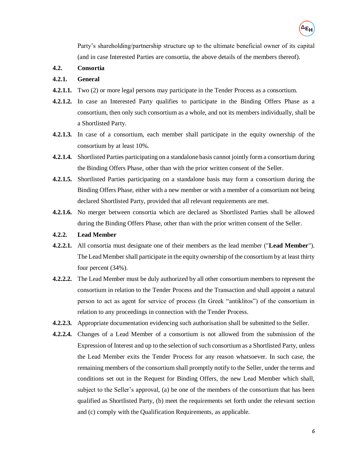

Party's shareholding/partnership structure up to the ultimate beneficial owner of its capital (and in case Interested Parties are consortia, the above details of the members thereof).

**4.2. Consortia**

### **4.2.1. General**

- **4.2.1.1.** Two (2) or more legal persons may participate in the Tender Process as a consortium.
- **4.2.1.2.** In case an Interested Party qualifies to participate in the Binding Offers Phase as a consortium, then only such consortium as a whole, and not its members individually, shall be a Shortlisted Party.
- **4.2.1.3.** In case of a consortium, each member shall participate in the equity ownership of the consortium by at least 10%.
- **4.2.1.4.** Shortlisted Parties participating on a standalone basis cannot jointly form a consortium during the Binding Offers Phase, other than with the prior written consent of the Seller.
- **4.2.1.5.** Shortlisted Parties participating on a standalone basis may form a consortium during the Binding Offers Phase, either with a new member or with a member of a consortium not being declared Shortlisted Party, provided that all relevant requirements are met.
- **4.2.1.6.** No merger between consortia which are declared as Shortlisted Parties shall be allowed during the Binding Offers Phase, other than with the prior written consent of the Seller.
- **4.2.2. Lead Member**
- **4.2.2.1.** All consortia must designate one of their members as the lead member ("**Lead Member**"). The Lead Member shall participate in the equity ownership of the consortium by at least thirty four percent (34%).
- **4.2.2.2.** The Lead Member must be duly authorized by all other consortium members to represent the consortium in relation to the Tender Process and the Transaction and shall appoint a natural person to act as agent for service of process (In Greek "antiklitos") of the consortium in relation to any proceedings in connection with the Tender Process.
- **4.2.2.3.** Appropriate documentation evidencing such authorisation shall be submitted to the Seller.
- **4.2.2.4.** Changes of a Lead Member of a consortium is not allowed from the submission of the Expression of Interest and up to the selection of such consortium as a Shortlisted Party, unless the Lead Member exits the Tender Process for any reason whatsoever. In such case, the remaining members of the consortium shall promptly notify to the Seller, under the terms and conditions set out in the Request for Binding Offers, the new Lead Member which shall, subject to the Seller's approval, (a) be one of the members of the consortium that has been qualified as Shortlisted Party, (b) meet the requirements set forth under the relevant section and (c) comply with the Qualification Requirements, as applicable.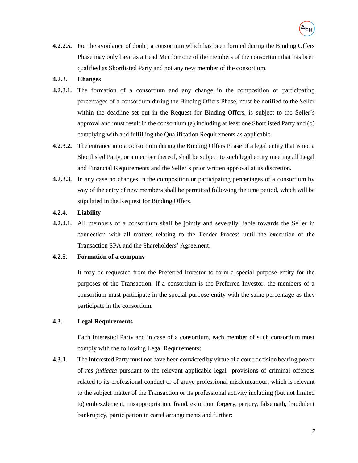**4.2.2.5.** For the avoidance of doubt, a consortium which has been formed during the Binding Offers Phase may only have as a Lead Member one of the members of the consortium that has been qualified as Shortlisted Party and not any new member of the consortium.

### <span id="page-7-1"></span>**4.2.3. Changes**

- **4.2.3.1.** The formation of a consortium and any change in the composition or participating percentages of a consortium during the Binding Offers Phase, must be notified to the Seller within the deadline set out in the Request for Binding Offers, is subject to the Seller's approval and must result in the consortium (a) including at least one Shortlisted Party and (b) complying with and fulfilling the Qualification Requirements as applicable.
- **4.2.3.2.** The entrance into a consortium during the Binding Offers Phase of a legal entity that is not a Shortlisted Party, or a member thereof, shall be subject to such legal entity meeting all Legal and Financial Requirements and the Seller's prior written approval at its discretion.
- **4.2.3.3.** In any case no changes in the composition or participating percentages of a consortium by way of the entry of new members shall be permitted following the time period, which will be stipulated in the Request for Binding Offers.

## **4.2.4. Liability**

**4.2.4.1.** All members of a consortium shall be jointly and severally liable towards the Seller in connection with all matters relating to the Tender Process until the execution of the Transaction SPA and the Shareholders' Agreement.

## **4.2.5. Formation of a company**

It may be requested from the Preferred Investor to form a special purpose entity for the purposes of the Transaction. If a consortium is the Preferred Investor, the members of a consortium must participate in the special purpose entity with the same percentage as they participate in the consortium.

## <span id="page-7-0"></span>**4.3. Legal Requirements**

Each Interested Party and in case of a consortium, each member of such consortium must comply with the following Legal Requirements:

**4.3.1.** The Interested Party must not have been convicted by virtue of a court decision bearing power of *res judicata* pursuant to the relevant applicable legal provisions of criminal offences related to its professional conduct or of grave professional misdemeanour, which is relevant to the subject matter of the Transaction or its professional activity including (but not limited to) embezzlement, misappropriation, fraud, extortion, forgery, perjury, false oath, fraudulent bankruptcy, participation in cartel arrangements and further: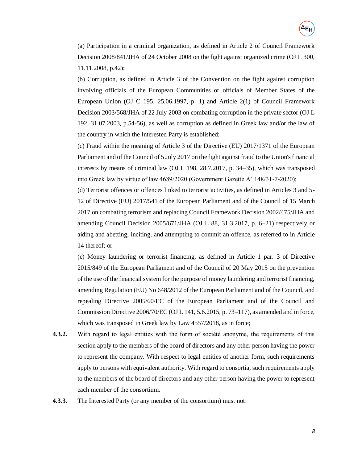(a) Participation in a criminal organization, as defined in Article 2 of Council Framework Decision 2008/841/JHA of 24 October 2008 on the fight against organized crime (OJ L 300, 11.11.2008, p.42);

(b) Corruption, as defined in Article 3 of the Convention on the fight against corruption involving officials of the European Communities or officials of Member States of the European Union (OJ C 195, 25.06.1997, p. 1) and Article  $2(1)$  of Council Framework Decision 2003/568/JHA of 22 July 2003 on combating corruption in the private sector (OJ L 192, 31.07.2003, p.54-56), as well as corruption as defined in Greek law and/or the law of the country in which the Interested Party is established;

(c) Fraud within the meaning of Article 3 of the Directive (EU) 2017/1371 of the European Parliament and of the Council of 5 July 2017 on the fight against fraud to the Union's financial interests by means of criminal law (OJ L 198, 28.7.2017, p. 34–35), which was transposed into Greek law by virtue of law 4689/2020 (Government Gazette A' 148/31-7-2020);

(d) Terrorist offences or offences linked to terrorist activities, as defined in Articles 3 and 5- 12 of Directive (EU) 2017/541 of the European Parliament and of the Council of 15 March 2017 on combating terrorism and replacing Council Framework Decision 2002/475/JHA and amending Council Decision 2005/671/JHA (OJ L 88, 31.3.2017, p. 6–21) respectively or aiding and abetting, inciting, and attempting to commit an offence, as referred to in Article 14 thereof; or

(e) Money laundering or terrorist financing, as defined in Article 1 par. 3 of Directive 2015/849 of the European Parliament and of the Council of 20 May 2015 on the prevention of the use of the financial system for the purpose of money laundering and terrorist financing, amending Regulation (EU) No 648/2012 of the European Parliament and of the Council, and repealing Directive 2005/60/EC of the European Parliament and of the Council and Commission Directive 2006/70/EC (OJ L 141, 5.6.2015, p. 73–117), as amended and in force, which was transposed in Greek law by Law 4557/2018, as in force;

- **4.3.2.** With regard to legal entities with the form of société anonyme, the requirements of this section apply to the members of the board of directors and any other person having the power to represent the company. With respect to legal entities of another form, such requirements apply to persons with equivalent authority. With regard to consortia, such requirements apply to the members of the board of directors and any other person having the power to represent each member of the consortium.
- **4.3.3.** The Interested Party (or any member of the consortium) must not: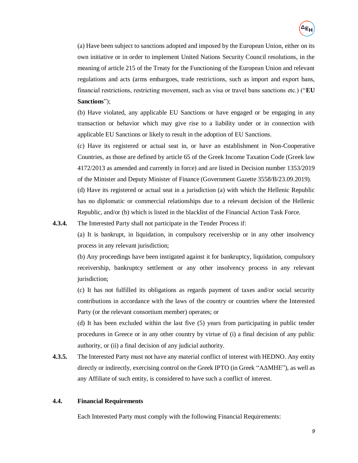(a) Have been subject to sanctions adopted and imposed by the European Union, either on its own initiative or in order to implement United Nations Security Council resolutions, in the meaning of article 215 of the Treaty for the Functioning of the European Union and relevant regulations and acts (arms embargoes, trade restrictions, such as import and export bans, financial restrictions, restricting movement, such as visa or travel bans sanctions etc.) ("**EU Sanctions**");

(b) Have violated, any applicable EU Sanctions or have engaged or be engaging in any transaction or behavior which may give rise to a liability under or in connection with applicable EU Sanctions or likely to result in the adoption of EU Sanctions.

(c) Have its registered or actual seat in, or have an establishment in Non-Cooperative Countries, as those are defined by article 65 of the Greek Income Taxation Code (Greek law 4172/2013 as amended and currently in force) and are listed in Decision number 1353/2019 of the Minister and Deputy Minister of Finance (Government Gazette 3558/B/23.09.2019).

(d) Have its registered or actual seat in a jurisdiction (a) with which the Hellenic Republic has no diplomatic or commercial relationships due to a relevant decision of the Hellenic Republic, and/or (b) which is listed in the blacklist of the Financial Action Task Force.

**4.3.4.** The Interested Party shall not participate in the Tender Process if:

(a) It is bankrupt, in liquidation, in compulsory receivership or in any other insolvency process in any relevant jurisdiction;

(b) Any proceedings have been instigated against it for bankruptcy, liquidation, compulsory receivership, bankruptcy settlement or any other insolvency process in any relevant jurisdiction;

(c) It has not fulfilled its obligations as regards payment of taxes and/or social security contributions in accordance with the laws of the country or countries where the Interested Party (or the relevant consortium member) operates; or

(d) It has been excluded within the last five (5) years from participating in public tender procedures in Greece or in any other country by virtue of (i) a final decision of any public authority, or (ii) a final decision of any judicial authority.

**4.3.5.** The Interested Party must not have any material conflict of interest with HEDNO. Any entity directly or indirectly, exercising control on the Greek IPTO (in Greek "ΑΔΜΗΕ"), as well as any Affiliate of such entity, is considered to have such a conflict of interest.

### <span id="page-9-0"></span>**4.4. Financial Requirements**

Each Interested Party must comply with the following Financial Requirements: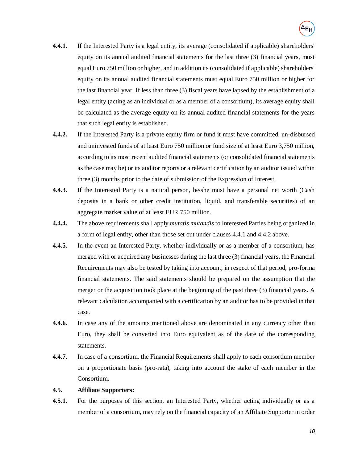- **4.4.1.** If the Interested Party is a legal entity, its average (consolidated if applicable) shareholders' equity on its annual audited financial statements for the last three (3) financial years, must equal Euro 750 million or higher, and in addition its (consolidated if applicable) shareholders' equity on its annual audited financial statements must equal Euro 750 million or higher for the last financial year. If less than three (3) fiscal years have lapsed by the establishment of a legal entity (acting as an individual or as a member of a consortium), its average equity shall be calculated as the average equity on its annual audited financial statements for the years that such legal entity is established.
- <span id="page-10-1"></span>**4.4.2.** If the Interested Party is a private equity firm or fund it must have committed, un-disbursed and uninvested funds of at least Euro 750 million or fund size of at least Euro 3,750 million, according to its most recent audited financial statements (or consolidated financial statements as the case may be) or its auditor reports or a relevant certification by an auditor issued within three (3) months prior to the date of submission of the Expression of Interest.
- **4.4.3.** If the Interested Party is a natural person, he/she must have a personal net worth (Cash deposits in a bank or other credit institution, liquid, and transferable securities) of an aggregate market value of at least EUR 750 million.
- **4.4.4.** The above requirements shall apply *mutatis mutandis* to Interested Parties being organized in a form of legal entity, other than those set out under clauses 4.4.1 and 4.4.2 above.
- **4.4.5.** In the event an Interested Party, whether individually or as a member of a consortium, has merged with or acquired any businesses during the last three (3) financial years, the Financial Requirements may also be tested by taking into account, in respect of that period, pro-forma financial statements. The said statements should be prepared on the assumption that the merger or the acquisition took place at the beginning of the past three (3) financial years. A relevant calculation accompanied with a certification by an auditor has to be provided in that case.
- **4.4.6.** In case any of the amounts mentioned above are denominated in any currency other than Euro, they shall be converted into Euro equivalent as of the date of the corresponding statements.
- **4.4.7.** In case of a consortium, the Financial Requirements shall apply to each consortium member on a proportionate basis (pro-rata), taking into account the stake of each member in the Consortium.

### **4.5. Affiliate Supporters:**

<span id="page-10-0"></span>**4.5.1.** For the purposes of this section, an Interested Party, whether acting individually or as a member of a consortium, may rely on the financial capacity of an Affiliate Supporter in order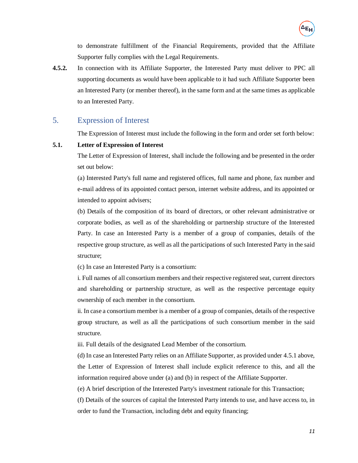to demonstrate fulfillment of the Financial Requirements, provided that the Affiliate Supporter fully complies with the Legal Requirements.

**4.5.2.** In connection with its Affiliate Supporter, the Interested Party must deliver to PPC all supporting documents as would have been applicable to it had such Affiliate Supporter been an Interested Party (or member thereof), in the same form and at the same times as applicable to an Interested Party.

# <span id="page-11-1"></span>5. Expression of Interest

The Expression of Interest must include the following in the form and order set forth below:

### <span id="page-11-0"></span>**5.1. Letter of Expression of Interest**

The Letter of Expression of Interest, shall include the following and be presented in the order set out below:

(a) Interested Party's full name and registered offices, full name and phone, fax number and e-mail address of its appointed contact person, internet website address, and its appointed or intended to appoint advisers;

(b) Details of the composition of its board of directors, or other relevant administrative or corporate bodies, as well as of the shareholding or partnership structure of the Interested Party. In case an Interested Party is a member of a group of companies, details of the respective group structure, as well as all the participations of such Interested Party in the said structure;

(c) In case an Interested Party is a consortium:

i. Full names of all consortium members and their respective registered seat, current directors and shareholding or partnership structure, as well as the respective percentage equity ownership of each member in the consortium.

ii. In case a consortium member is a member of a group of companies, details of the respective group structure, as well as all the participations of such consortium member in the said structure.

iii. Full details of the designated Lead Member of the consortium.

(d) In case an Interested Party relies on an Affiliate Supporter, as provided under [4.5.1](#page-10-0) above, the Letter of Expression of Interest shall include explicit reference to this, and all the information required above under (a) and (b) in respect of the Affiliate Supporter.

(e) A brief description of the Interested Party's investment rationale for this Transaction;

(f) Details of the sources of capital the Interested Party intends to use, and have access to, in order to fund the Transaction, including debt and equity financing;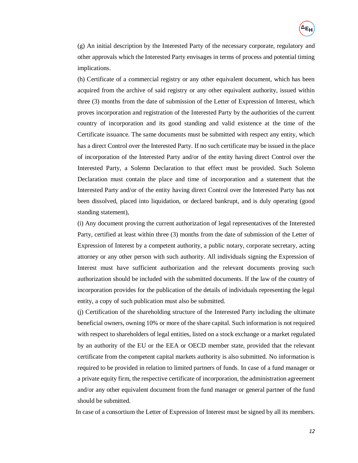(g) An initial description by the Interested Party of the necessary corporate, regulatory and other approvals which the Interested Party envisages in terms of process and potential timing implications.

(h) Certificate of a commercial registry or any other equivalent document, which has been acquired from the archive of said registry or any other equivalent authority, issued within three (3) months from the date of submission of the Letter of Expression of Interest, which proves incorporation and registration of the Interested Party by the authorities of the current country of incorporation and its good standing and valid existence at the time of the Certificate issuance. The same documents must be submitted with respect any entity, which has a direct Control over the Interested Party. If no such certificate may be issued in the place of incorporation of the Interested Party and/or of the entity having direct Control over the Interested Party, a Solemn Declaration to that effect must be provided. Such Solemn Declaration must contain the place and time of incorporation and a statement that the Interested Party and/or of the entity having direct Control over the Interested Party has not been dissolved, placed into liquidation, or declared bankrupt, and is duly operating (good standing statement),

(i) Any document proving the current authorization of legal representatives of the Interested Party, certified at least within three (3) months from the date of submission of the Letter of Expression of Interest by a competent authority, a public notary, corporate secretary, acting attorney or any other person with such authority. All individuals signing the Expression of Interest must have sufficient authorization and the relevant documents proving such authorization should be included with the submitted documents. If the law of the country of incorporation provides for the publication of the details of individuals representing the legal entity, a copy of such publication must also be submitted.

(j) Certification of the shareholding structure of the Interested Party including the ultimate beneficial owners, owning 10% or more of the share capital. Such information is not required with respect to shareholders of legal entities, listed on a stock exchange or a market regulated by an authority of the EU or the EEA or OECD member state, provided that the relevant certificate from the competent capital markets authority is also submitted. No information is required to be provided in relation to limited partners of funds. In case of a fund manager or a private equity firm, the respective certificate of incorporation, the administration agreement and/or any other equivalent document from the fund manager or general partner of the fund should be submitted.

In case of a consortium the Letter of Expression of Interest must be signed by all its members.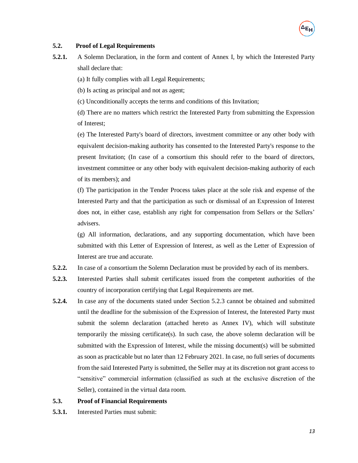### <span id="page-13-0"></span>**5.2. Proof of Legal Requirements**

**5.2.1.** A Solemn Declaration, in the form and content of Annex I, by which the Interested Party shall declare that:

(a) It fully complies with all Legal Requirements;

(b) Is acting as principal and not as agent;

(c) Unconditionally accepts the terms and conditions of this Invitation;

(d) There are no matters which restrict the Interested Party from submitting the Expression of Interest;

(e) The Interested Party's board of directors, investment committee or any other body with equivalent decision-making authority has consented to the Interested Party's response to the present Invitation; (In case of a consortium this should refer to the board of directors, investment committee or any other body with equivalent decision-making authority of each of its members); and

(f) The participation in the Tender Process takes place at the sole risk and expense of the Interested Party and that the participation as such or dismissal of an Expression of Interest does not, in either case, establish any right for compensation from Sellers or the Sellers' advisers.

(g) All information, declarations, and any supporting documentation, which have been submitted with this Letter of Expression of Interest, as well as the Letter of Expression of Interest are true and accurate.

- **5.2.2.** In case of a consortium the Solemn Declaration must be provided by each of its members.
- <span id="page-13-2"></span>**5.2.3.** Interested Parties shall submit certificates issued from the competent authorities of the country of incorporation certifying that Legal Requirements are met.
- **5.2.4.** In case any of the documents stated under Section [5.2.3](#page-13-2) cannot be obtained and submitted until the deadline for the submission of the Expression of Interest, the Interested Party must submit the solemn declaration (attached hereto as Annex IV), which will substitute temporarily the missing certificate(s). In such case, the above solemn declaration will be submitted with the Expression of Interest, while the missing document(s) will be submitted as soon as practicable but no later than 12 February 2021. In case, no full series of documents from the said Interested Party is submitted, the Seller may at its discretion not grant access to "sensitive" commercial information (classified as such at the exclusive discretion of the Seller), contained in the virtual data room.

### <span id="page-13-1"></span>**5.3. Proof of Financial Requirements**

**5.3.1.** Interested Parties must submit: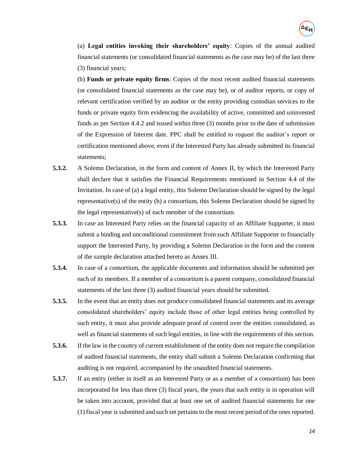(a) **Legal entities invoking their shareholders' equity**: Copies of the annual audited financial statements (or consolidated financial statements as the case may be) of the last three (3) financial years;

(b) **Funds or private equity firms**: Copies of the most recent audited financial statements (or consolidated financial statements as the case may be), or of auditor reports, or copy of relevant certification verified by an auditor or the entity providing custodian services to the funds or private equity firm evidencing the availability of active, committed and uninvested funds as per Section [4.4.2](#page-10-1) and issued within three (3) months prior to the date of submission of the Expression of Interest date. PPC shall be entitled to request the auditor's report or certification mentioned above, even if the Interested Party has already submitted its financial statements;

- **5.3.2.** A Solemn Declaration, in the form and content of Annex II, by which the Interested Party shall declare that it satisfies the Financial Requirements mentioned in Section [4.4](#page-9-0) of the Invitation. In case of (a) a legal entity, this Solemn Declaration should be signed by the legal representative(s) of the entity (b) a consortium, this Solemn Declaration should be signed by the legal representative(s) of each member of the consortium.
- **5.3.3.** In case an Interested Party relies on the financial capacity of an Affiliate Supporter, it must submit a binding and unconditional commitment from such Affiliate Supporter to financially support the Interested Party, by providing a Solemn Declaration in the form and the content of the sample declaration attached hereto as Annex III.
- **5.3.4.** In case of a consortium, the applicable documents and information should be submitted per each of its members. If a member of a consortium is a parent company, consolidated financial statements of the last three (3) audited financial years should be submitted.
- **5.3.5.** In the event that an entity does not produce consolidated financial statements and its average consolidated shareholders' equity include those of other legal entities being controlled by such entity, it must also provide adequate proof of control over the entities consolidated, as well as financial statements of such legal entities, in line with the requirements of this section.
- **5.3.6.** If the law in the country of current establishment of the entity does not require the compilation of audited financial statements, the entity shall submit a Solemn Declaration confirming that auditing is not required, accompanied by the unaudited financial statements.
- **5.3.7.** If an entity (either in itself as an Interested Party or as a member of a consortium) has been incorporated for less than three (3) fiscal years, the years that such entity is in operation will be taken into account, provided that at least one set of audited financial statements for one (1) fiscal year is submitted and such set pertains to the most recent period of the ones reported.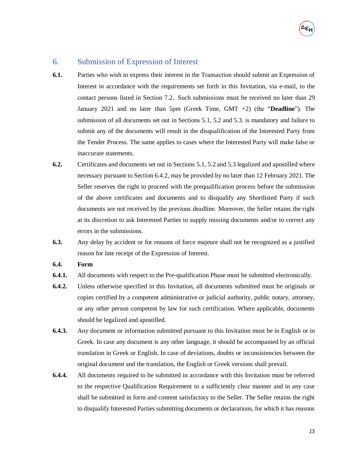# 6. Submission of Expression of Interest

- **6.1.** Parties who wish to express their interest in the Transaction should submit an Expression of Interest in accordance with the requirements set forth in this Invitation, via e-mail, to the contact persons listed in Section 7.2. Such submissions must be received no later than 29 January 2021 and no later than 5pm (Greek Time, GMT +2) (the "**Deadline**"). The submission of all documents set out in Sections [5.1,](#page-11-0) [5.2](#page-13-0) and [5.3.](#page-13-1) is mandatory and failure to submit any of the documents will result in the disqualification of the Interested Party from the Tender Process. The same applies to cases where the Interested Party will make false or inaccurate statements.
- **6.2.** Certificates and documents set out in Sections [5.1,](#page-11-0) [5.2](#page-13-0) and [5.3](#page-13-1) legalized and apostilled where necessary pursuant to Section [6.4.2,](#page-15-0) may be provided by no later than 12 February 2021. The Seller reserves the right to proceed with the prequalification process before the submission of the above certificates and documents and to disqualify any Shortlisted Party if such documents are not received by the previous deadline. Moreover, the Seller retains the right at its discretion to ask Interested Parties to supply missing documents and/or to correct any errors in the submissions.
- **6.3.** Any delay by accident or for reasons of force majeure shall not be recognized as a justified reason for late receipt of the Expression of Interest.

## **6.4. Form**

- **6.4.1.** All documents with respect to the Pre-qualification Phase must be submitted electronically.
- <span id="page-15-0"></span>**6.4.2.** Unless otherwise specified in this Invitation, all documents submitted must be originals or copies certified by a competent administrative or judicial authority, public notary, attorney, or any other person competent by law for such certification. Where applicable, documents should be legalized and apostilled.
- **6.4.3.** Any document or information submitted pursuant to this Invitation must be in English or in Greek. In case any document is any other language, it should be accompanied by an official translation in Greek or English. In case of deviations, doubts or inconsistencies between the original document and the translation, the English or Greek versions shall prevail.
- **6.4.4.** All documents required to be submitted in accordance with this Invitation must be referred to the respective Qualification Requirement in a sufficiently clear manner and in any case shall be submitted in form and content satisfactory to the Seller. The Seller retains the right to disqualify Interested Parties submitting documents or declarations, for which it has reasons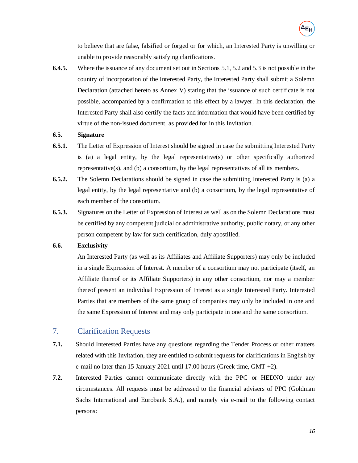to believe that are false, falsified or forged or for which, an Interested Party is unwilling or unable to provide reasonably satisfying clarifications.

**6.4.5.** Where the issuance of any document set out in Sections [5.1,](#page-11-0) [5.2](#page-13-0) and [5.3](#page-13-1) is not possible in the country of incorporation of the Interested Party, the Interested Party shall submit a Solemn Declaration (attached hereto as Annex V) stating that the issuance of such certificate is not possible, accompanied by a confirmation to this effect by a lawyer. In this declaration, the Interested Party shall also certify the facts and information that would have been certified by virtue of the non-issued document, as provided for in this Invitation.

## **6.5. Signature**

- **6.5.1.** The Letter of Expression of Interest should be signed in case the submitting Interested Party is (a) a legal entity, by the legal representative(s) or other specifically authorized representative(s), and (b) a consortium, by the legal representatives of all its members.
- **6.5.2.** The Solemn Declarations should be signed in case the submitting Interested Party is (a) a legal entity, by the legal representative and (b) a consortium, by the legal representative of each member of the consortium.
- **6.5.3.** Signatures on the Letter of Expression of Interest as well as on the Solemn Declarations must be certified by any competent judicial or administrative authority, public notary, or any other person competent by law for such certification, duly apostilled.

## **6.6. Exclusivity**

An Interested Party (as well as its Affiliates and Affiliate Supporters) may only be included in a single Expression of Interest. A member of a consortium may not participate (itself, an Affiliate thereof or its Affiliate Supporters) in any other consortium, nor may a member thereof present an individual Expression of Interest as a single Interested Party. Interested Parties that are members of the same group of companies may only be included in one and the same Expression of Interest and may only participate in one and the same consortium.

# 7. Clarification Requests

- **7.1.** Should Interested Parties have any questions regarding the Tender Process or other matters related with this Invitation, they are entitled to submit requests for clarifications in English by e-mail no later than 15 January 2021 until 17.00 hours (Greek time, GMT +2).
- **7.2.** Interested Parties cannot communicate directly with the PPC or HEDNO under any circumstances. All requests must be addressed to the financial advisers of PPC (Goldman Sachs International and Eurobank S.A.), and namely via e-mail to the following contact persons: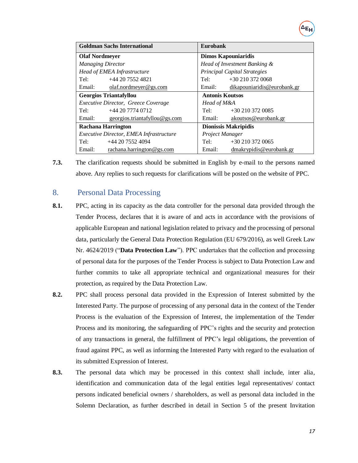| <b>Eurobank</b><br><b>Goldman Sachs International</b> |                                       |  |  |
|-------------------------------------------------------|---------------------------------------|--|--|
| <b>Olaf Nordmeyer</b>                                 | <b>Dimos Kapouniaridis</b>            |  |  |
| <b>Managing Director</b>                              | Head of Investment Banking &          |  |  |
| Head of EMEA Infrastructure                           | <b>Principal Capital Strategies</b>   |  |  |
| +44 20 7552 4821<br>Tel:                              | $+302103720068$<br>Tel:               |  |  |
| Email:<br>olaf.nordmeyer@gs.com                       | dikapouniaridis@eurobank.gr<br>Email: |  |  |
| <b>Georgios Triantafyllou</b>                         | <b>Antonis Koutsos</b>                |  |  |
| <i>Executive Director, Greece Coverage</i>            | Head of M&A                           |  |  |
| +44 20 7774 0712<br>Tel:                              | Tel:<br>$+302103720085$               |  |  |
| Email:<br>georgios.triantafyllou@gs.com               | Email:<br>akoutsos@eurobank.gr        |  |  |
| <b>Rachana Harrington</b>                             | <b>Dionissis Makripidis</b>           |  |  |
| <i>Executive Director, EMEA Infrastructure</i>        | Project Manager                       |  |  |
| $+44$ 20 7552 4094<br>Tel:                            | $+302103720065$<br>Tel:               |  |  |
| Email:<br>rachana.harrington@gs.com                   | Email:<br>dmakrypidis@eurobank.gr     |  |  |

**7.3.** The clarification requests should be submitted in English by e-mail to the persons named above. Any replies to such requests for clarifications will be posted on the website of PPC.

# <span id="page-17-0"></span>8. Personal Data Processing

- **8.1.** PPC, acting in its capacity as the data controller for the personal data provided through the Tender Process, declares that it is aware of and acts in accordance with the provisions of applicable European and national legislation related to privacy and the processing of personal data, particularly the General Data Protection Regulation (EU 679/2016), as well Greek Law Nr. 4624/2019 ("**Data Protection Law**"). PPC undertakes that the collection and processing of personal data for the purposes of the Tender Process is subject to Data Protection Law and further commits to take all appropriate technical and organizational measures for their protection, as required by the Data Protection Law.
- **8.2.** PPC shall process personal data provided in the Expression of Interest submitted by the Interested Party. The purpose of processing of any personal data in the context of the Tender Process is the evaluation of the Expression of Interest, the implementation of the Tender Process and its monitoring, the safeguarding of PPC's rights and the security and protection of any transactions in general, the fulfillment of PPC's legal obligations, the prevention of fraud against PPC, as well as informing the Interested Party with regard to the evaluation of its submitted Expression of Interest.
- **8.3.** The personal data which may be processed in this context shall include, inter alia, identification and communication data of the legal entities legal representatives/ contact persons indicated beneficial owners / shareholders, as well as personal data included in the Solemn Declaration, as further described in detail in Section [5](#page-11-1) of the present Invitation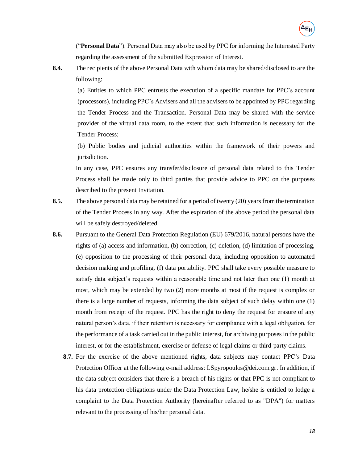("**Personal Data**"). Personal Data may also be used by PPC for informing the Interested Party regarding the assessment of the submitted Expression of Interest.

**8.4.** The recipients of the above Personal Data with whom data may be shared/disclosed to are the following:

(a) Entities to which PPC entrusts the execution of a specific mandate for PPC's account (processors), including PPC's Advisers and all the advisers to be appointed by PPC regarding the Tender Process and the Transaction. Personal Data may be shared with the service provider of the virtual data room, to the extent that such information is necessary for the Tender Process;

(b) Public bodies and judicial authorities within the framework of their powers and jurisdiction.

In any case, PPC ensures any transfer/disclosure of personal data related to this Tender Process shall be made only to third parties that provide advice to PPC on the purposes described to the present Invitation.

- **8.5.** The above personal data may be retained for a period of twenty (20) years from the termination of the Tender Process in any way. After the expiration of the above period the personal data will be safely destroyed/deleted.
- **8.6.** Pursuant to the General Data Protection Regulation (EU) 679/2016, natural persons have the rights of (a) access and information, (b) correction, (c) deletion, (d) limitation of processing, (e) opposition to the processing of their personal data, including opposition to automated decision making and profiling, (f) data portability. PPC shall take every possible measure to satisfy data subject's requests within a reasonable time and not later than one (1) month at most, which may be extended by two (2) more months at most if the request is complex or there is a large number of requests, informing the data subject of such delay within one (1) month from receipt of the request. PPC has the right to deny the request for erasure of any natural person's data, if their retention is necessary for compliance with a legal obligation, for the performance of a task carried out in the public interest, for archiving purposes in the public interest, or for the establishment, exercise or defense of legal claims or third-party claims.
	- **8.7.** For the exercise of the above mentioned rights, data subjects may contact PPC's Data Protection Officer at the following e-mail address: I.Spyropoulos@dei.com.gr. In addition, if the data subject considers that there is a breach of his rights or that PPC is not compliant to his data protection obligations under the Data Protection Law, he/she is entitled to lodge a complaint to the Data Protection Authority (hereinafter referred to as "DPA") for matters relevant to the processing of his/her personal data.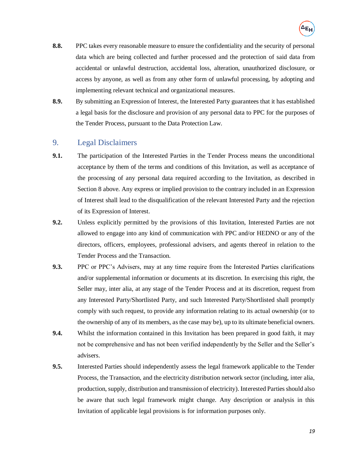- **8.8.** PPC takes every reasonable measure to ensure the confidentiality and the security of personal data which are being collected and further processed and the protection of said data from accidental or unlawful destruction, accidental loss, alteration, unauthorized disclosure, or access by anyone, as well as from any other form of unlawful processing, by adopting and implementing relevant technical and organizational measures.
- **8.9.** By submitting an Expression of Interest, the Interested Party guarantees that it has established a legal basis for the disclosure and provision of any personal data to PPC for the purposes of the Tender Process, pursuant to the Data Protection Law.

# 9. Legal Disclaimers

- **9.1.** The participation of the Interested Parties in the Tender Process means the unconditional acceptance by them of the terms and conditions of this Invitation, as well as acceptance of the processing of any personal data required according to the Invitation, as described in Section [8](#page-17-0) above. Any express or implied provision to the contrary included in an Expression of Interest shall lead to the disqualification of the relevant Interested Party and the rejection of its Expression of Interest.
- **9.2.** Unless explicitly permitted by the provisions of this Invitation, Interested Parties are not allowed to engage into any kind of communication with PPC and/or HEDNO or any of the directors, officers, employees, professional advisers, and agents thereof in relation to the Tender Process and the Transaction.
- **9.3.** PPC or PPC's Advisers, may at any time require from the Interested Parties clarifications and/or supplemental information or documents at its discretion. In exercising this right, the Seller may, inter alia, at any stage of the Tender Process and at its discretion, request from any Interested Party/Shortlisted Party, and such Interested Party/Shortlisted shall promptly comply with such request, to provide any information relating to its actual ownership (or to the ownership of any of its members, as the case may be), up to its ultimate beneficial owners.
- **9.4.** Whilst the information contained in this Invitation has been prepared in good faith, it may not be comprehensive and has not been verified independently by the Seller and the Seller's advisers.
- **9.5.** Interested Parties should independently assess the legal framework applicable to the Tender Process, the Transaction, and the electricity distribution network sector (including, inter alia, production, supply, distribution and transmission of electricity). Interested Parties should also be aware that such legal framework might change. Any description or analysis in this Invitation of applicable legal provisions is for information purposes only.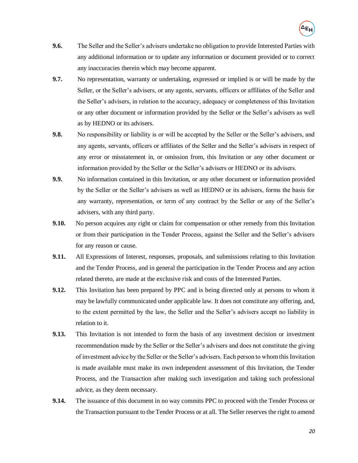- **9.6.** The Seller and the Seller's advisers undertake no obligation to provide Interested Parties with any additional information or to update any information or document provided or to correct any inaccuracies therein which may become apparent.
- **9.7.** No representation, warranty or undertaking, expressed or implied is or will be made by the Seller, or the Seller's advisers, or any agents, servants, officers or affiliates of the Seller and the Seller's advisers, in relation to the accuracy, adequacy or completeness of this Invitation or any other document or information provided by the Seller or the Seller's advisers as well as by HEDNO or its advisers.
- **9.8.** No responsibility or liability is or will be accepted by the Seller or the Seller's advisers, and any agents, servants, officers or affiliates of the Seller and the Seller's advisers in respect of any error or misstatement in, or omission from, this Invitation or any other document or information provided by the Seller or the Seller's advisers or HEDNO or its advisers.
- **9.9.** No information contained in this Invitation, or any other document or information provided by the Seller or the Seller's advisers as well as HEDNO or its advisers, forms the basis for any warranty, representation, or term of any contract by the Seller or any of the Seller's advisers, with any third party.
- **9.10.** No person acquires any right or claim for compensation or other remedy from this Invitation or from their participation in the Tender Process, against the Seller and the Seller's advisers for any reason or cause.
- **9.11.** All Expressions of Interest, responses, proposals, and submissions relating to this Invitation and the Tender Process, and in general the participation in the Tender Process and any action related thereto, are made at the exclusive risk and costs of the Interested Parties.
- **9.12.** This Invitation has been prepared by PPC and is being directed only at persons to whom it may be lawfully communicated under applicable law. It does not constitute any offering, and, to the extent permitted by the law, the Seller and the Seller's advisers accept no liability in relation to it.
- **9.13.** This Invitation is not intended to form the basis of any investment decision or investment recommendation made by the Seller or the Seller's advisers and does not constitute the giving of investment advice by the Seller or the Seller's advisers. Each person to whom this Invitation is made available must make its own independent assessment of this Invitation, the Tender Process, and the Transaction after making such investigation and taking such professional advice, as they deem necessary.
- <span id="page-20-0"></span>**9.14.** The issuance of this document in no way commits PPC to proceed with the Tender Process or the Transaction pursuant to the Tender Process or at all. The Seller reserves the right to amend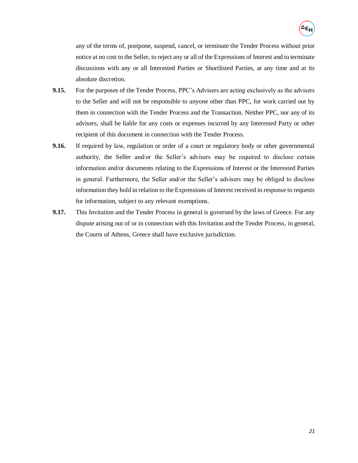any of the terms of, postpone, suspend, cancel, or terminate the Tender Process without prior notice at no cost to the Seller, to reject any or all of the Expressions of Interest and to terminate discussions with any or all Interested Parties or Shortlisted Parties, at any time and at its absolute discretion.

- **9.15.** For the purposes of the Tender Process, PPC's Advisers are acting exclusively as the advisers to the Seller and will not be responsible to anyone other than PPC, for work carried out by them in connection with the Tender Process and the Transaction. Neither PPC, nor any of its advisers, shall be liable for any costs or expenses incurred by any Interested Party or other recipient of this document in connection with the Tender Process.
- **9.16.** If required by law, regulation or order of a court or regulatory body or other governmental authority, the Seller and/or the Seller's advisers may be required to disclose certain information and/or documents relating to the Expressions of Interest or the Interested Parties in general. Furthermore, the Seller and/or the Seller's advisers may be obliged to disclose information they hold in relation to the Expressions of Interest received in response to requests for information, subject to any relevant exemptions.
- **9.17.** This Invitation and the Tender Process in general is governed by the laws of Greece. For any dispute arising out of or in connection with this Invitation and the Tender Process, in general, the Courts of Athens, Greece shall have exclusive jurisdiction.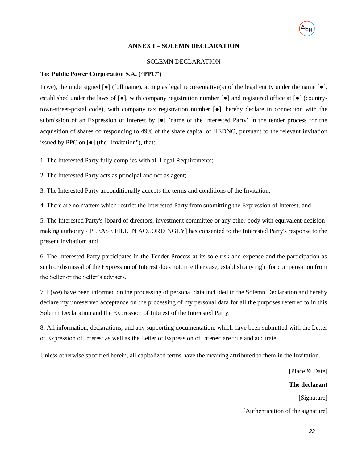### **ANNEX I – SOLEMN DECLARATION**

### SOLEMN DECLARATION

### **To: Public Power Corporation S.A. ("PPC")**

I (we), the undersigned  $\lceil \bullet \rceil$  (full name), acting as legal representative(s) of the legal entity under the name  $\lceil \bullet \rceil$ , established under the laws of [●], with company registration number [●] and registered office at [●] (countrytown-street-postal code), with company tax registration number [●], hereby declare in connection with the submission of an Expression of Interest by [●] (name of the Interested Party) in the tender process for the acquisition of shares corresponding to 49% of the share capital of HEDNO, pursuant to the relevant invitation issued by PPC on [●] (the "Invitation"), that:

1. The Interested Party fully complies with all Legal Requirements;

2. The Interested Party acts as principal and not as agent;

3. The Interested Party unconditionally accepts the terms and conditions of the Invitation;

4. There are no matters which restrict the Interested Party from submitting the Expression of Interest; and

5. The Interested Party's [board of directors, investment committee or any other body with equivalent decisionmaking authority / PLEASE FILL IN ACCORDINGLY] has consented to the Interested Party's response to the present Invitation; and

6. The Interested Party participates in the Tender Process at its sole risk and expense and the participation as such or dismissal of the Expression of Interest does not, in either case, establish any right for compensation from the Seller or the Seller's advisers.

7. I (we) have been informed on the processing of personal data included in the Solemn Declaration and hereby declare my unreserved acceptance on the processing of my personal data for all the purposes referred to in this Solemn Declaration and the Expression of Interest of the Interested Party.

8. All information, declarations, and any supporting documentation, which have been submitted with the Letter of Expression of Interest as well as the Letter of Expression of Interest are true and accurate.

Unless otherwise specified herein, all capitalized terms have the meaning attributed to them in the Invitation.

[Place & Date]

**The declarant**

[Signature]

[Authentication of the signature]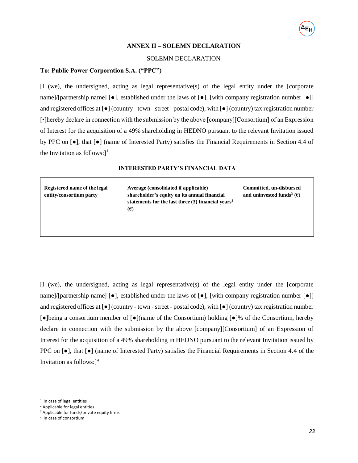#### **ANNEX II – SOLEMN DECLARATION**

#### SOLEMN DECLARATION

### **To: Public Power Corporation S.A. ("PPC")**

[I (we), the undersigned, acting as legal representative(s) of the legal entity under the [corporate name]/[partnership name]  $\lceil \bullet \rceil$ , established under the laws of  $\lceil \bullet \rceil$ , [with company registration number  $\lceil \bullet \rceil$ ] and registered offices at  $[\bullet]$  (country - town - street - postal code), with  $[\bullet]$  (country) tax registration number [•]hereby declare in connection with the submission by the above [company][Consortium] of an Expression of Interest for the acquisition of a 49% shareholding in HEDNO pursuant to the relevant Invitation issued by PPC on [●], that [●] (name of Interested Party) satisfies the Financial Requirements in Section 4.4 of the Invitation as follows: $]$ <sup>1</sup>

| Registered name of the legal<br>entity/consortium party | Average (consolidated if applicable)<br>shareholder's equity on its annual financial<br>statements for the last three $(3)$ financial years <sup>2</sup><br>$(\epsilon)$ | Committed, un-disbursed<br>and uninvested funds <sup>3</sup> ( $\epsilon$ ) |
|---------------------------------------------------------|--------------------------------------------------------------------------------------------------------------------------------------------------------------------------|-----------------------------------------------------------------------------|
|                                                         |                                                                                                                                                                          |                                                                             |

#### **INTERESTED PARTY'S FINANCIAL DATA**

[I (we), the undersigned, acting as legal representative(s) of the legal entity under the [corporate name]/[partnership name] [●], established under the laws of [●], [with company registration number [●]] and registered offices at  $[\bullet]$  (country - town - street - postal code), with  $[\bullet]$  (country) tax registration number [●]being a consortium member of [●](name of the Consortium) holding [●]% of the Consortium, hereby declare in connection with the submission by the above [company][Consortium] of an Expression of Interest for the acquisition of a 49% shareholding in HEDNO pursuant to the relevant Invitation issued by PPC on  $\lceil \bullet \rceil$ , that  $\lceil \bullet \rceil$  (name of Interested Party) satisfies the Financial Requirements in Section 4.4 of the Invitation as follows: $]^{4}$ 

 $\overline{\phantom{a}}$ 

<sup>&</sup>lt;sup>1</sup> In case of legal entities

<sup>2</sup> Applicable for legal entities

<sup>&</sup>lt;sup>3</sup> Applicable for funds/private equity firms

<sup>4</sup> In case of consortium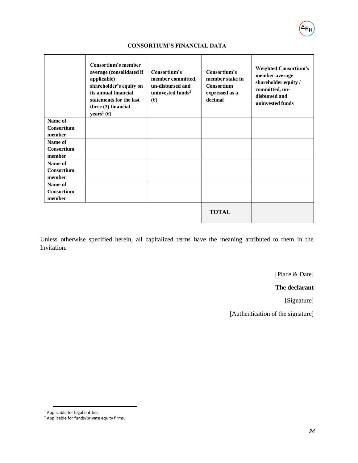# **CONSORTIUM'S FINANCIAL DATA**

|                   | <b>Consortium's member</b><br>average (consolidated if<br>applicable)<br>shareholder's equity on<br>its annual financial<br>statements for the last<br>three (3) financial<br>years <sup>1</sup> ( $\epsilon$ ) | Consortium's<br>member committed,<br>un-disbursed and<br>uninvested funds <sup>2</sup><br>(E) | Consortium's<br>member stake in<br>Consortium<br>expressed as a<br>decimal | <b>Weighted Consortium's</b><br>member average<br>shareholder equity /<br>committed, un-<br>disbursed and<br>uninvested funds |
|-------------------|-----------------------------------------------------------------------------------------------------------------------------------------------------------------------------------------------------------------|-----------------------------------------------------------------------------------------------|----------------------------------------------------------------------------|-------------------------------------------------------------------------------------------------------------------------------|
| Name of           |                                                                                                                                                                                                                 |                                                                                               |                                                                            |                                                                                                                               |
| <b>Consortium</b> |                                                                                                                                                                                                                 |                                                                                               |                                                                            |                                                                                                                               |
| member            |                                                                                                                                                                                                                 |                                                                                               |                                                                            |                                                                                                                               |
| Name of           |                                                                                                                                                                                                                 |                                                                                               |                                                                            |                                                                                                                               |
| Consortium        |                                                                                                                                                                                                                 |                                                                                               |                                                                            |                                                                                                                               |
| member            |                                                                                                                                                                                                                 |                                                                                               |                                                                            |                                                                                                                               |
| Name of           |                                                                                                                                                                                                                 |                                                                                               |                                                                            |                                                                                                                               |
| Consortium        |                                                                                                                                                                                                                 |                                                                                               |                                                                            |                                                                                                                               |
| member            |                                                                                                                                                                                                                 |                                                                                               |                                                                            |                                                                                                                               |
| Name of           |                                                                                                                                                                                                                 |                                                                                               |                                                                            |                                                                                                                               |
| Consortium        |                                                                                                                                                                                                                 |                                                                                               |                                                                            |                                                                                                                               |
| member            |                                                                                                                                                                                                                 |                                                                                               |                                                                            |                                                                                                                               |
|                   |                                                                                                                                                                                                                 |                                                                                               | <b>TOTAL</b>                                                               |                                                                                                                               |

Unless otherwise specified herein, all capitalized terms have the meaning attributed to them in the Invitation.

[Place & Date]

ΔEι

**The declarant**

[Signature]

[Authentication of the signature]

 $\overline{a}$ 

<sup>&</sup>lt;sup>1</sup> Applicable for legal entities.

<sup>&</sup>lt;sup>2</sup> Applicable for funds/private equity firms.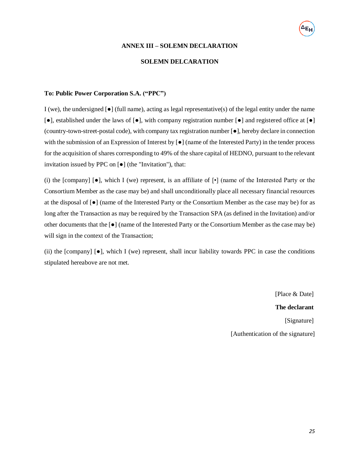#### **ANNEX III – SOLEMN DECLARATION**

### **SOLEMN DELCARATION**

### **To: Public Power Corporation S.A. ("PPC")**

I (we), the undersigned  $[\bullet]$  (full name), acting as legal representative(s) of the legal entity under the name [●], established under the laws of [●], with company registration number [●] and registered office at [●] (country-town-street-postal code), with company tax registration number [●], hereby declare in connection with the submission of an Expression of Interest by  $\lceil \bullet \rceil$  (name of the Interested Party) in the tender process for the acquisition of shares corresponding to 49% of the share capital of HEDNO, pursuant to the relevant invitation issued by PPC on [●] (the "Invitation"), that:

(i) the [company]  $\lceil \bullet \rceil$ , which I (we) represent, is an affiliate of  $\lceil \bullet \rceil$  (name of the Interested Party or the Consortium Member as the case may be) and shall unconditionally place all necessary financial resources at the disposal of [●] (name of the Interested Party or the Consortium Member as the case may be) for as long after the Transaction as may be required by the Transaction SPA (as defined in the Invitation) and/or other documents that the [●] (name of the Interested Party or the Consortium Member as the case may be) will sign in the context of the Transaction;

(ii) the  $[company] \, \Theta$ , which I (we) represent, shall incur liability towards PPC in case the conditions stipulated hereabove are not met.

> [Place & Date] **The declarant** [Signature] [Authentication of the signature]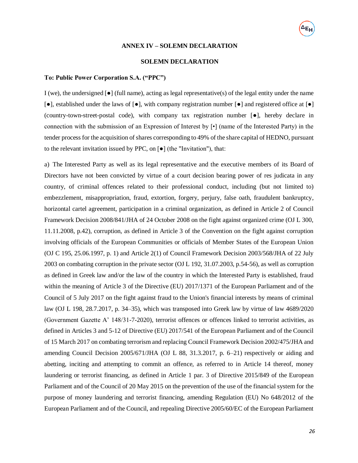#### **ANNEX IV – SOLEMN DECLARATION**

#### **SOLEMN DECLARATION**

### **To: Public Power Corporation S.A. ("PPC")**

I (we), the undersigned  $\lceil \bullet \rceil$  (full name), acting as legal representative(s) of the legal entity under the name [●], established under the laws of [●], with company registration number [●] and registered office at [●] (country-town-street-postal code), with company tax registration number [●], hereby declare in connection with the submission of an Expression of Interest by [•] (name of the Interested Party) in the tender process for the acquisition of shares corresponding to 49% of the share capital of HEDNO, pursuant to the relevant invitation issued by PPC, on [●] (the "Invitation"), that:

a) The Interested Party as well as its legal representative and the executive members of its Board of Directors have not been convicted by virtue of a court decision bearing power of res judicata in any country, of criminal offences related to their professional conduct, including (but not limited to) embezzlement, misappropriation, fraud, extortion, forgery, perjury, false oath, fraudulent bankruptcy, horizontal cartel agreement, participation in a criminal organization, as defined in Article 2 of Council Framework Decision 2008/841/JHA of 24 October 2008 on the fight against organized crime (OJ L 300, 11.11.2008, p.42), corruption, as defined in Article 3 of the Convention on the fight against corruption involving officials of the European Communities or officials of Member States of the European Union (OJ C 195, 25.06.1997, p. 1) and Article 2(1) of Council Framework Decision 2003/568/JHA of 22 July 2003 on combating corruption in the private sector (OJ L 192, 31.07.2003, p.54-56), as well as corruption as defined in Greek law and/or the law of the country in which the Interested Party is established, fraud within the meaning of Article 3 of the Directive (EU) 2017/1371 of the European Parliament and of the Council of 5 July 2017 on the fight against fraud to the Union's financial interests by means of criminal law (OJ L 198, 28.7.2017, p. 34–35), which was transposed into Greek law by virtue of law 4689/2020 (Government Gazette A' 148/31-7-2020), terrorist offences or offences linked to terrorist activities, as defined in Articles 3 and 5-12 of Directive (EU) 2017/541 of the European Parliament and of the Council of 15 March 2017 on combating terrorism and replacing Council Framework Decision 2002/475/JHA and amending Council Decision 2005/671/JHA (OJ L 88, 31.3.2017, p. 6–21) respectively or aiding and abetting, inciting and attempting to commit an offence, as referred to in Article 14 thereof, money laundering or terrorist financing, as defined in Article 1 par. 3 of Directive 2015/849 of the European Parliament and of the Council of 20 May 2015 on the prevention of the use of the financial system for the purpose of money laundering and terrorist financing, amending Regulation (EU) No 648/2012 of the European Parliament and of the Council, and repealing Directive 2005/60/EC of the European Parliament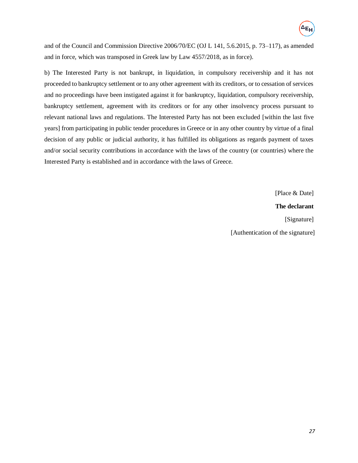and of the Council and Commission Directive 2006/70/EC (OJ L 141, 5.6.2015, p. 73–117), as amended and in force, which was transposed in Greek law by Law 4557/2018, as in force).

b) The Interested Party is not bankrupt, in liquidation, in compulsory receivership and it has not proceeded to bankruptcy settlement or to any other agreement with its creditors, or to cessation of services and no proceedings have been instigated against it for bankruptcy, liquidation, compulsory receivership, bankruptcy settlement, agreement with its creditors or for any other insolvency process pursuant to relevant national laws and regulations. The Interested Party has not been excluded [within the last five years] from participating in public tender procedures in Greece or in any other country by virtue of a final decision of any public or judicial authority, it has fulfilled its obligations as regards payment of taxes and/or social security contributions in accordance with the laws of the country (or countries) where the Interested Party is established and in accordance with the laws of Greece.

[Place & Date]

# **The declarant**

[Signature]

[Authentication of the signature]